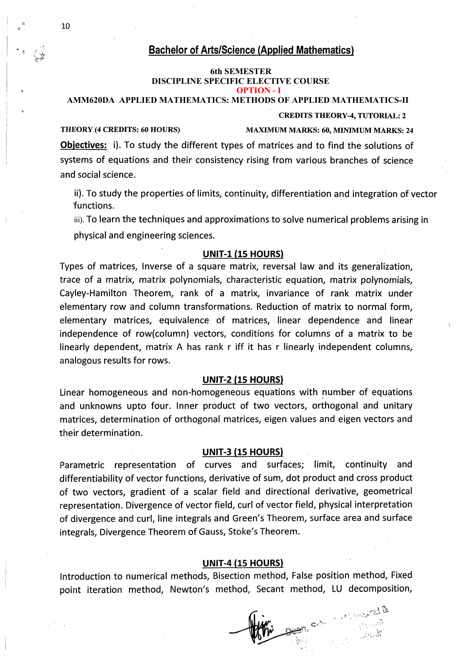# **Bachelor of Arts/Science (Applied Mathematics)**

# **V1A SEMESTER 6th SEMESTER DISCIPLINE SPECIFIC COUSRE -6(CORE-6) OPTION - I DISCIPLINE SPECIFIC ELECTIVE COURSE**

## **AMM620DA APPLIED MATHEMATICS: METHODS OF APPLIED MATHEMATICS-II**

#### **AMM619DA: METHODS OF APPLIED MATHEMATICS-II CREDITS THEORY-4, TUTORIAL: 2**

# **THEORY (4 CREDITS: 60 HOURS) MAXIMUM MARKS: 60, MINIMUM MARKS: 24**

**Objectives:** i). To study the different types of matrices and to find the solutions of systems of equations and their consistency rising from various branches of science and social science.

ii). To study the properties of limits, continuity, differentiation and integration of vector functions.

iii). To learn the techniques and approximations to solve numerical problems arising in physical and engineering sciences.

## **UNIT-1 (15 HOURS)**

Types of matrices, Inverse of a square matrix, reversal law and its generalization, trace of a matrix, matrix polynomials, characteristic equation, matrix polynomials, Cayley-Hamilton Theorem, rank of a matrix, invariance of rank matrix under elementary row and column transformations. Reduction of matrix to normal form, elementary matrices, equivalence of matrices, linear dependence and linear independence of row(column) vectors, conditions for columns of a matrix to be linearly dependent, matrix A has rank r iff it has r linearly independent columns, analogous results for rows.

### **UNIT-2 (15 HOURS)**

Linear homogeneous and non-homogeneous equations with number of equations and unknowns upto four. Inner product of two vectors, orthogonal and unitary matrices, determination of orthogonal matrices, eigen values and eigen vectors and their determination.

## **UNIT-3 (15 HOURS)**

Parametric representation of curves and surfaces; limit, continuity and differentiability of vector functions, derivative of sum, dot product and cross product of two vectors, gradient of a scalar field and directional derivative, geometrical representation. Divergence of vector field, curl of vector field, physical interpretation of divergence and curl, line integrals and Green's Theorem, surface area and surface integrals, Divergence Theorem of Gauss, Stoke's Theorem.

## **UNIT-4 (15 HOURS)**

Introduction to numerical methods, Bisection method, False position method, Fixed point iteration method, Newton's method, Secant method, LU decomposition,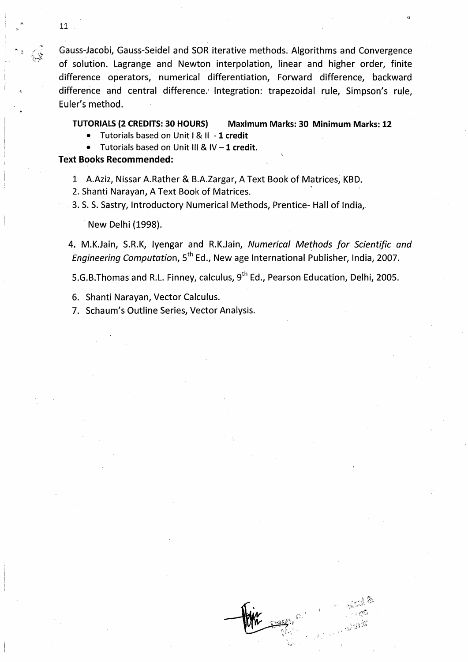Gauss-Jacobi, Gauss-Seidel and SOR iterative methods. Algorithms and Convergence of solution. Lagrange and Newton interpolation, linear and higher order, finite difference operators, numerical differentiation, Forward difference, backward difference and central difference.' Integration: trapezoidal rule, Simpson's rule, Euler's method.

**TUTORIALS (2 CREDITS: 30 HOURS) Maximum Marks: 30 Minimum Marks: 12**

- Tutorials based on Unit <sup>i</sup> & II **-1 credit**
- Tutorials based on Unit III & IV -**<sup>1</sup> credit.**

# **Text Books Recommended:**

- 1 A.Aziz, Nissar A.Rather & B.A.Zargar, A Text Book of Matrices, KBD.
- 2. Shanti Narayan, A Text Book of Matrices.
- 3. S. S. Sastry, Introductory Numerical Methods, Prentice- Hall of India,

New Delhi (1998).

4. M.K.Jain, S.R.K, Iyengar and R.K.Jain, *Numerical Methods for Scientific and Engineering Computation,* 5th Ed., New age International Publisher, India, 2007.

5.G.B.Thomas and R.L. Finney, calculus,  $9^{th}$  Ed., Pearson Education, Delhi, 2005.

- 6. Shanti Narayan, Vector Calculus.
- 7. Schaum's Outline Series, Vector Analysis.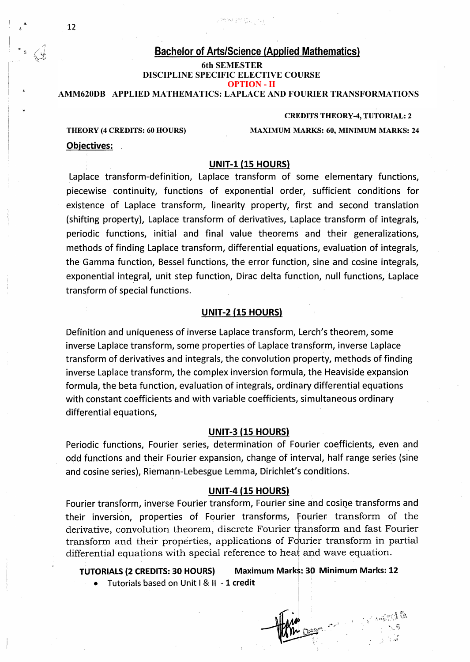# **Bachelor of Arts/Science (Applied Mathematics)**

# **DISCIPLINE SPECIFIC ELECTIVE COURSE 6th SEMESTER OPTION - II**

**DISCIPLINE SPECIFIC COUSRE -6 (CORE-6) AMM620DB APPLIED MATHEMATICS: LAPLACE AND FOURIER TRANSFORMATIONS**

#### **AMM619DB; LAPLACE AND FOURIER TRANSFORMATIONS CREDITS THEORY-4, TUTORIAL: 2**

**Objectives:**

**THEORY (4 CREDITS: 60 HOURS) MAXIMUM MARKS: 60, MINIMUM MARKS: 24**

# **UNIT-1 (15 HOURS)**

Laplace transform-definition, Laplace transform of some elementary functions, piecewise continuity, functions of exponential order, sufficient conditions for existence of Laplace transform, linearity property, first and second translation (shifting property), Laplace transform of derivatives, Laplace transform of integrals, periodic functions, initial and final value theorems and their generalizations, methods of finding Laplace transform, differential equations, evaluation of integrals, the Gamma function, Bessel functions, the error function, sine and cosine integrals, exponential integral, unit step function, Dirac delta function, null functions, Laplace transform of special functions.

# **UNIT-2 (15 HOURS)**

Definition and uniqueness of inverse Laplace transform, Lerch's theorem, some inverse Laplace transform, some properties of Laplace transform, inverse Laplace transform of derivatives and integrals, the convolution property, methods of finding inverse Laplace transform, the complex inversion formula, the Heaviside expansion formula, the beta function, evaluation of integrals, ordinary differential equations with constant coefficients and with variable coefficients, simultaneous ordinary differential equations,

## **UNIT-3 (15 HOURS)**

Periodic functions, Fourier series, determination of Fourier coefficients, even and odd functions and their Fourier expansion, change of interval, half range series (sine and cosine series), Riemann-Lebesgue Lemma, Dirichlet's conditions.

# **UNIT-4 (15 HOURS)**

Fourier transform, inverse Fourier transform, Fourier sine and cosine transforms and their inversion, properties of Fourier transforms, Fourier transform of the derivative, convolution theorem, discrete Fourier transform and fast Fourier transform and their properties, applications of Fourier transform in partial differential equations with special reference to heat and wave equation.

**TUTORIALS (2 CREDITS: 30 HOURS) Maximum Marks: 30 Minimum Marks: 12**

• Tutorials based on Unit <sup>I</sup> & II **1 credit**